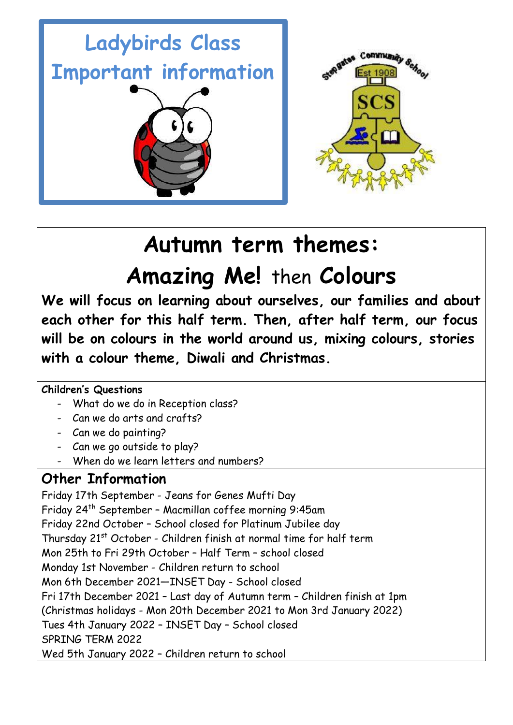

# **Autumn term themes: Amazing Me!** then **Colours**

**We will focus on learning about ourselves, our families and about each other for this half term. Then, after half term, our focus will be on colours in the world around us, mixing colours, stories with a colour theme, Diwali and Christmas.**

**Children's Questions**

- What do we do in Reception class?
- Can we do arts and crafts?
- Can we do painting?
- Can we go outside to play?
- When do we learn letters and numbers?

# **Other Information**

Friday 17th September - Jeans for Genes Mufti Day Friday 24th September – Macmillan coffee morning 9:45am Friday 22nd October – School closed for Platinum Jubilee day Thursday 21<sup>st</sup> October - Children finish at normal time for half term Mon 25th to Fri 29th October – Half Term – school closed Monday 1st November - Children return to school Mon 6th December 2021—INSET Day - School closed Fri 17th December 2021 – Last day of Autumn term – Children finish at 1pm (Christmas holidays - Mon 20th December 2021 to Mon 3rd January 2022) Tues 4th January 2022 – INSET Day – School closed SPRING TERM 2022 Wed 5th January 2022 – Children return to school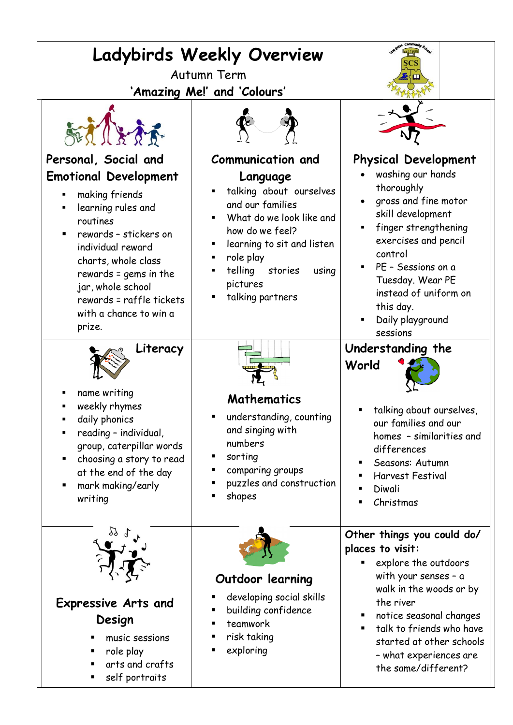| Ladybirds Weekly Overview<br>Autumn Term<br>'Amazing Me!' and 'Colours'                                                                                                                                                                                                                     |                                                                                                                                                                                                                                                                          |                                                                                                                                                                                                                                                                                                                                 |
|---------------------------------------------------------------------------------------------------------------------------------------------------------------------------------------------------------------------------------------------------------------------------------------------|--------------------------------------------------------------------------------------------------------------------------------------------------------------------------------------------------------------------------------------------------------------------------|---------------------------------------------------------------------------------------------------------------------------------------------------------------------------------------------------------------------------------------------------------------------------------------------------------------------------------|
|                                                                                                                                                                                                                                                                                             |                                                                                                                                                                                                                                                                          |                                                                                                                                                                                                                                                                                                                                 |
| Personal, Social and<br><b>Emotional Development</b><br>making friends<br>learning rules and<br>routines<br>rewards - stickers on<br>individual reward<br>charts, whole class<br>rewards = gems in the<br>jar, whole school<br>rewards = raffle tickets<br>with a chance to win a<br>prize. | <b>Communication and</b><br>Language<br>talking about ourselves<br>٠<br>and our families<br>What do we look like and<br>$\blacksquare$<br>how do we feel?<br>learning to sit and listen<br>role play<br>٠<br>telling<br>stories<br>using<br>pictures<br>talking partners | <b>Physical Development</b><br>washing our hands<br>thoroughly<br>gross and fine motor<br>skill development<br>finger strengthening<br>$\blacksquare$<br>exercises and pencil<br>control<br>PE - Sessions on a<br>$\blacksquare$<br>Tuesday. Wear PE<br>instead of uniform on<br>this day.<br>Daily playground<br>٠<br>sessions |
| Literacy<br>name writing<br>weekly rhymes<br>daily phonics<br>reading - individual,<br>group, caterpillar words<br>choosing a story to read<br>п<br>at the end of the day<br>mark making/early<br>п<br>writing                                                                              | Mathematics<br>understanding, counting<br>and singing with<br>numbers<br>sorting<br>п<br>comparing groups<br>п<br>puzzles and construction<br>shapes                                                                                                                     | Understanding the<br>World<br>talking about ourselves,<br>our families and our<br>homes - similarities and<br>differences<br>Seasons: Autumn<br>Harvest Festival<br>Diwali<br>Christmas                                                                                                                                         |
| 99 L<br><b>Expressive Arts and</b><br>Design<br>music sessions<br>role play<br>п<br>arts and crafts<br>self portraits<br>п                                                                                                                                                                  | Outdoor learning<br>developing social skills<br>п<br>building confidence<br>teamwork<br>risk taking<br>exploring                                                                                                                                                         | Other things you could do/<br>places to visit:<br>explore the outdoors<br>ш<br>with your senses - a<br>walk in the woods or by<br>the river<br>notice seasonal changes<br>п<br>talk to friends who have<br>٠<br>started at other schools<br>- what experiences are<br>the same/different?                                       |